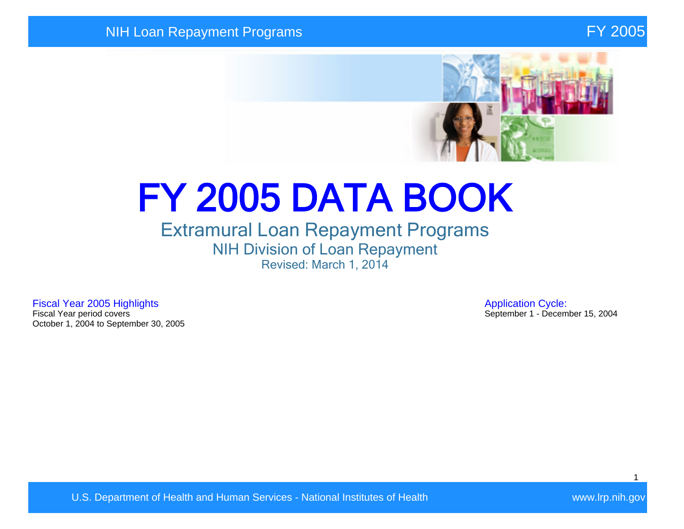

# FY 2005 DATA BOOK

## Extramural Loan Repayment Programs NIH Division of Loan Repayment Revised: March 1, 2014

Fiscal Year 2005 Highlights **Application Cycle:**<br>Fiscal Year period covers **Application Cycle:**<br>Fiscal Year period covers October 1, 2004 to September 30, 2005

September 1 - December 15, 2004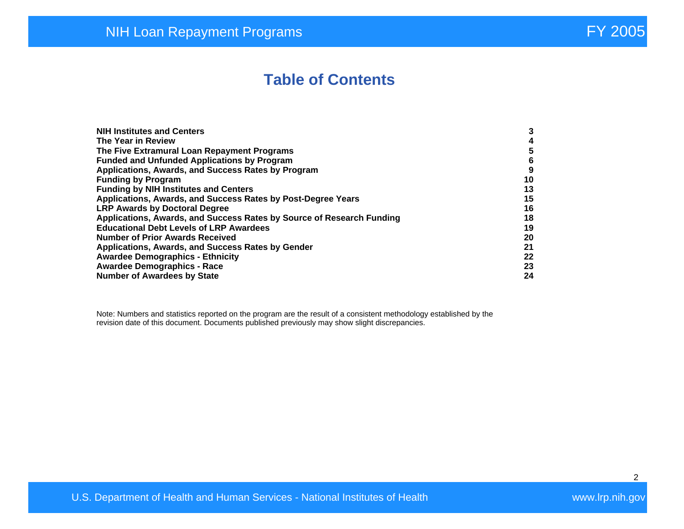# **Table of Contents**

| <b>NIH Institutes and Centers</b>                                     | 3  |
|-----------------------------------------------------------------------|----|
| The Year in Review                                                    | 4  |
| The Five Extramural Loan Repayment Programs                           | 5  |
| <b>Funded and Unfunded Applications by Program</b>                    | 6  |
| Applications, Awards, and Success Rates by Program                    | 9  |
| <b>Funding by Program</b>                                             | 10 |
| <b>Funding by NIH Institutes and Centers</b>                          | 13 |
| Applications, Awards, and Success Rates by Post-Degree Years          | 15 |
| <b>LRP Awards by Doctoral Degree</b>                                  | 16 |
| Applications, Awards, and Success Rates by Source of Research Funding | 18 |
| <b>Educational Debt Levels of LRP Awardees</b>                        | 19 |
| <b>Number of Prior Awards Received</b>                                | 20 |
| Applications, Awards, and Success Rates by Gender                     | 21 |
| <b>Awardee Demographics - Ethnicity</b>                               | 22 |
| <b>Awardee Demographics - Race</b>                                    | 23 |
| <b>Number of Awardees by State</b>                                    | 24 |

Note: Numbers and statistics reported on the program are the result of a consistent methodology established by the revision date of this document. Documents published previously may show slight discrepancies.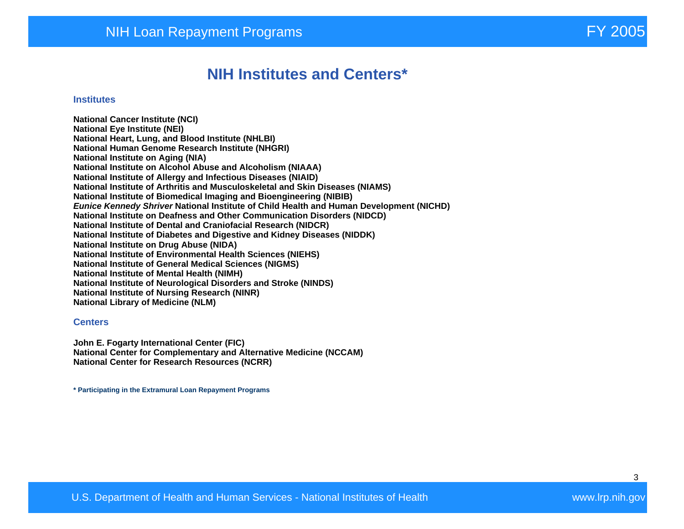## **NIH Institutes and Centers\***

#### **Institutes**

**National Cancer Institute (NCI) National Eye Institute (NEI) National Heart, Lung, and Blood Institute (NHLBI) National Human Genome Research Institute (NHGRI) National Institute on Aging (NIA) National Institute on Alcohol Abuse and Alcoholism (NIAAA) National Institute of Allergy and Infectious Diseases (NIAID) National Institute of Arthritis and Musculoskeletal and Skin Diseases (NIAMS) National Institute of Biomedical Imaging and Bioengineering (NIBIB) Eunice Kennedy Shriver National Institute of Child Health and Human Development (NICHD) National Institute on Deafness and Other Communication Disorders (NIDCD) National Institute of Dental and Craniofacial Research (NIDCR) National Institute of Diabetes and Digestive and Kidney Diseases (NIDDK) National Institute on Drug Abuse (NIDA) National Institute of Environmental Health Sciences (NIEHS) National Institute of General Medical Sciences (NIGMS) National Institute of Mental Health (NIMH) National Institute of Neurological Disorders and Stroke (NINDS) National Institute of Nursing Research (NINR) National Library of Medicine (NLM)** 

#### **Centers**

**John E. Fogarty International Center (FIC) National Center for Complementary and Alternative Medicine (NCCAM) National Center for Research Resources (NCRR)** 

**\* Participating in the Extramural Loan Repayment Programs**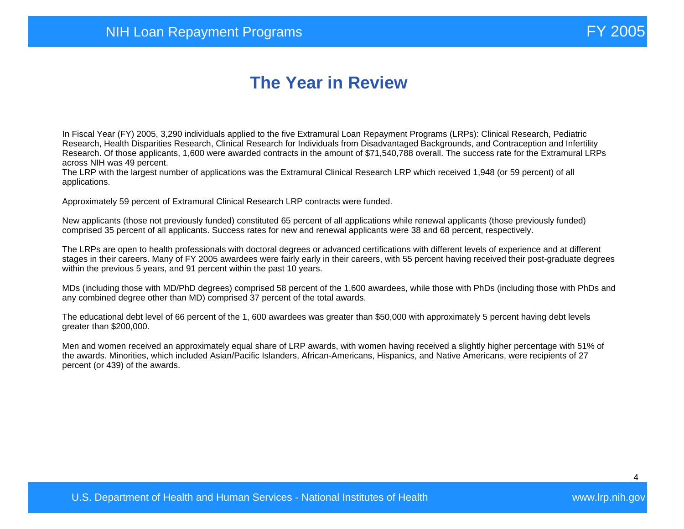# **The Year in Review**

In Fiscal Year (FY) 2005, 3,290 individuals applied to the five Extramural Loan Repayment Programs (LRPs): Clinical Research, Pediatric Research, Health Disparities Research, Clinical Research for Individuals from Disadvantaged Backgrounds, and Contraception and Infertility Research. Of those applicants, 1,600 were awarded contracts in the amount of \$71,540,788 overall. The success rate for the Extramural LRPs across NIH was 49 percent.

The LRP with the largest number of applications was the Extramural Clinical Research LRP which received 1,948 (or 59 percent) of all applications.

Approximately 59 percent of Extramural Clinical Research LRP contracts were funded.

New applicants (those not previously funded) constituted 65 percent of all applications while renewal applicants (those previously funded) comprised 35 percent of all applicants. Success rates for new and renewal applicants were 38 and 68 percent, respectively.

The LRPs are open to health professionals with doctoral degrees or advanced certifications with different levels of experience and at different stages in their careers. Many of FY 2005 awardees were fairly early in their careers, with 55 percent having received their post-graduate degrees within the previous 5 years, and 91 percent within the past 10 years.

MDs (including those with MD/PhD degrees) comprised 58 percent of the 1,600 awardees, while those with PhDs (including those with PhDs and any combined degree other than MD) comprised 37 percent of the total awards.

The educational debt level of 66 percent of the 1, 600 awardees was greater than \$50,000 with approximately 5 percent having debt levels greater than \$200,000.

Men and women received an approximately equal share of LRP awards, with women having received a slightly higher percentage with 51% of the awards. Minorities, which included Asian/Pacific Islanders, African-Americans, Hispanics, and Native Americans, were recipients of 27 percent (or 439) of the awards.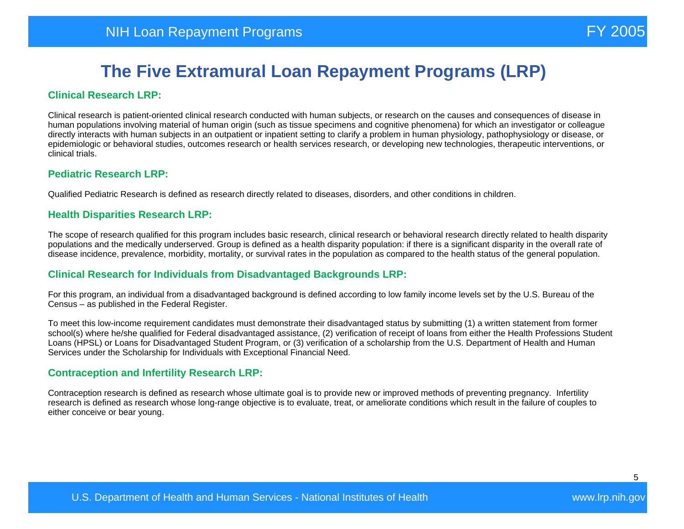#### **Clinical Research LRP:**

Clinical research is patient-oriented clinical research conducted with human subjects, or research on the causes and consequences of disease in human populations involving material of human origin (such as tissue specimens and cognitive phenomena) for which an investigator or colleague directly interacts with human subjects in an outpatient or inpatient setting to clarify a problem in human physiology, pathophysiology or disease, or epidemiologic or behavioral studies, outcomes research or health services research, or developing new technologies, therapeutic interventions, or clinical trials.

#### **Pediatric Research LRP:**

Qualified Pediatric Research is defined as research directly related to diseases, disorders, and other conditions in children.

#### **Health Disparities Research LRP:**

The scope of research qualified for this program includes basic research, clinical research or behavioral research directly related to health disparity populations and the medically underserved. Group is defined as a health disparity population: if there is a significant disparity in the overall rate of disease incidence, prevalence, morbidity, mortality, or survival rates in the population as compared to the health status of the general population.

#### **Clinical Research for Individuals from Disadvantaged Backgrounds LRP:**

For this program, an individual from a disadvantaged background is defined according to low family income levels set by the U.S. Bureau of the Census – as published in the Federal Register.

To meet this low-income requirement candidates must demonstrate their disadvantaged status by submitting (1) a written statement from former school(s) where he/she qualified for Federal disadvantaged assistance, (2) verification of receipt of loans from either the Health Professions Student Loans (HPSL) or Loans for Disadvantaged Student Program, or (3) verification of a scholarship from the U.S. Department of Health and Human Services under the Scholarship for Individuals with Exceptional Financial Need.

#### **Contraception and Infertility Research LRP:**

Contraception research is defined as research whose ultimate goal is to provide new or improved methods of preventing pregnancy. Infertility research is defined as research whose long-range objective is to evaluate, treat, or ameliorate conditions which result in the failure of couples to either conceive or bear young.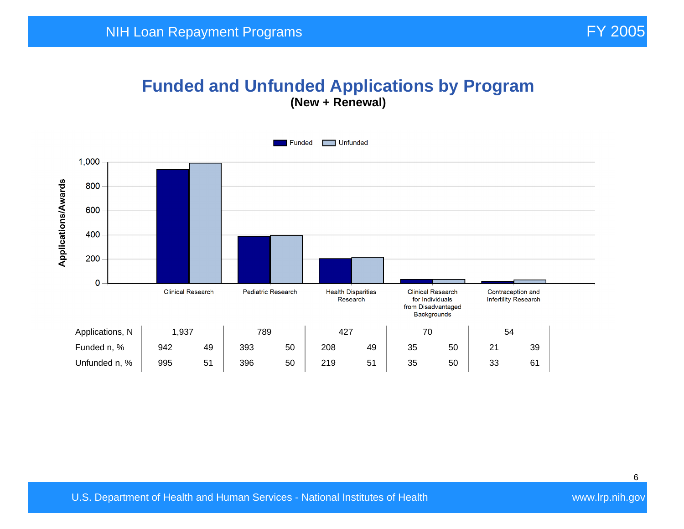## **Funded and Unfunded Applications by Program (New + Renewal)**

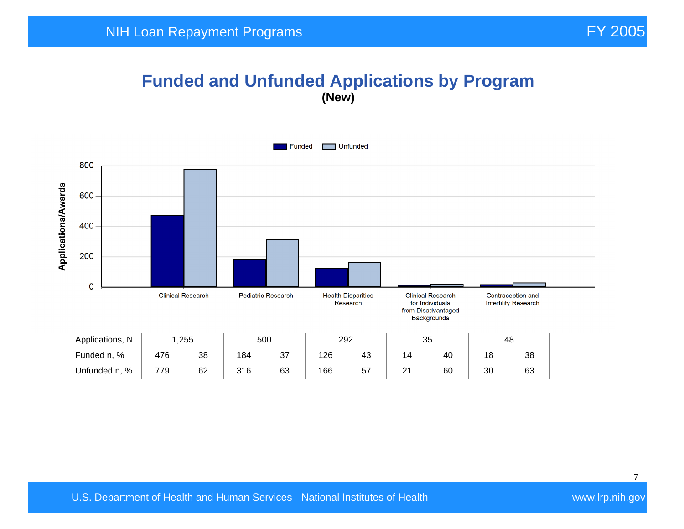## **Funded and Unfunded Applications by Program (New)**

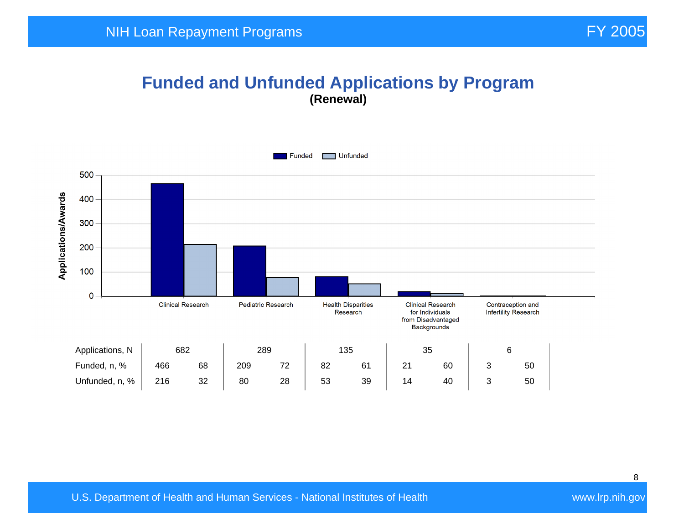#### **Funded and Unfunded Applications by Program (Renewal)**

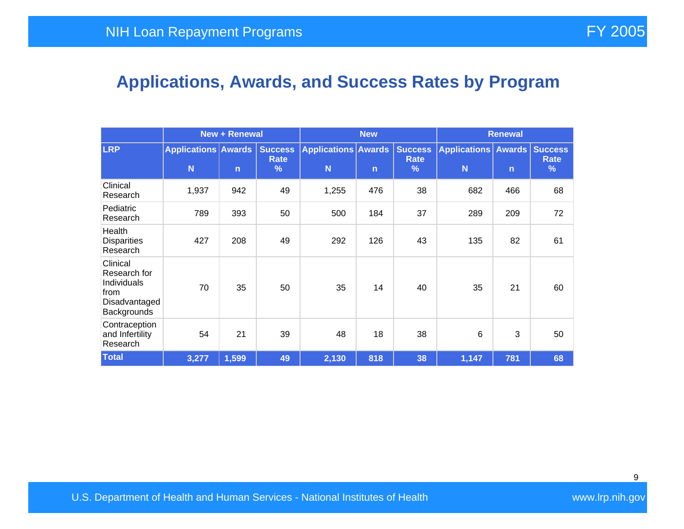# **Applications, Awards, and Success Rates by Program**

|                                                                                 | <b>New + Renewal</b>            |              |                             | <b>New</b>                      |              |                                    | <b>Renewal</b>                       |              |                  |
|---------------------------------------------------------------------------------|---------------------------------|--------------|-----------------------------|---------------------------------|--------------|------------------------------------|--------------------------------------|--------------|------------------|
| <b>LRP</b>                                                                      | <b>Applications Awards</b><br>N | $\mathsf{n}$ | <b>Success</b><br>Rate<br>% | <b>Applications Awards</b><br>N | $\mathsf{n}$ | <b>Success</b><br><b>Rate</b><br>% | Applications   Awards   Success<br>N | $\mathsf{n}$ | <b>Rate</b><br>% |
| Clinical<br>Research                                                            | 1,937                           | 942          | 49                          | 1,255                           | 476          | 38                                 | 682                                  | 466          | 68               |
| Pediatric<br>Research                                                           | 789                             | 393          | 50                          | 500                             | 184          | 37                                 | 289                                  | 209          | 72               |
| Health<br><b>Disparities</b><br>Research                                        | 427                             | 208          | 49                          | 292                             | 126          | 43                                 | 135                                  | 82           | 61               |
| Clinical<br>Research for<br>Individuals<br>from<br>Disadvantaged<br>Backgrounds | 70                              | 35           | 50                          | 35                              | 14           | 40                                 | 35                                   | 21           | 60               |
| Contraception<br>and Infertility<br>Research                                    | 54                              | 21           | 39                          | 48                              | 18           | 38                                 | 6                                    | 3            | 50               |
| <b>Total</b>                                                                    | 3,277                           | 1,599        | 49                          | 2,130                           | 818          | 38                                 | 1,147                                | 781          | 68               |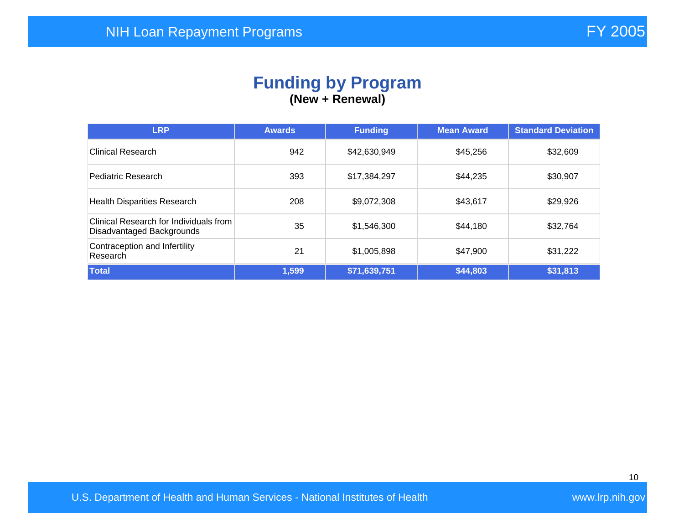#### **Funding by Program (New + Renewal)**

| <b>LRP</b>                                                          | <b>Awards</b> | <b>Funding</b> | <b>Mean Award</b> | <b>Standard Deviation</b> |
|---------------------------------------------------------------------|---------------|----------------|-------------------|---------------------------|
| <b>Clinical Research</b>                                            | 942           | \$42,630,949   | \$45,256          | \$32,609                  |
| Pediatric Research                                                  | 393           | \$17,384,297   | \$44,235          | \$30,907                  |
| <b>Health Disparities Research</b>                                  | 208           | \$9,072,308    | \$43,617          | \$29,926                  |
| Clinical Research for Individuals from<br>Disadvantaged Backgrounds | 35            | \$1,546,300    | \$44,180          | \$32,764                  |
| Contraception and Infertility<br>Research                           | 21            | \$1,005,898    | \$47,900          | \$31,222                  |
| <b>Total</b>                                                        | 1,599         | \$71,639,751   | \$44,803          | \$31,813                  |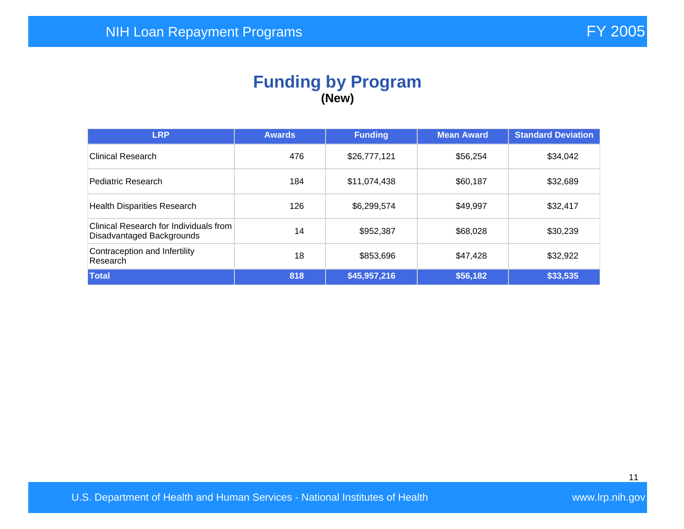#### **Funding by Program (New)**

| <b>LRP</b>                                                          | <b>Awards</b> | <b>Funding</b> | <b>Mean Award</b> | <b>Standard Deviation</b> |
|---------------------------------------------------------------------|---------------|----------------|-------------------|---------------------------|
| <b>Clinical Research</b>                                            | 476           | \$26,777,121   | \$56,254          | \$34,042                  |
| Pediatric Research                                                  | 184           | \$11,074,438   | \$60,187          | \$32,689                  |
| <b>Health Disparities Research</b>                                  | 126           | \$6,299,574    | \$49,997          | \$32,417                  |
| Clinical Research for Individuals from<br>Disadvantaged Backgrounds | 14            | \$952,387      | \$68,028          | \$30,239                  |
| Contraception and Infertility<br>Research                           | 18            | \$853,696      | \$47,428          | \$32,922                  |
| Total                                                               | 818           | \$45,957,216   | \$56,182          | \$33,535                  |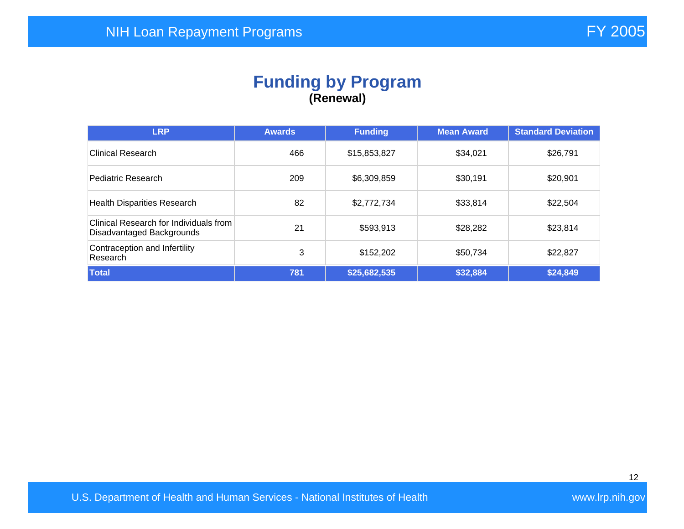## **Funding by Program (Renewal)**

| <b>LRP</b>                                                          | <b>Awards</b> | <b>Funding</b> | <b>Mean Award</b> | <b>Standard Deviation</b> |
|---------------------------------------------------------------------|---------------|----------------|-------------------|---------------------------|
| Clinical Research                                                   | 466           | \$15,853,827   | \$34,021          | \$26,791                  |
| Pediatric Research                                                  | 209           | \$6,309,859    | \$30,191          | \$20,901                  |
| <b>Health Disparities Research</b>                                  | 82            | \$2,772,734    | \$33,814          | \$22,504                  |
| Clinical Research for Individuals from<br>Disadvantaged Backgrounds | 21            | \$593,913      | \$28,282          | \$23,814                  |
| Contraception and Infertility<br>Research                           | 3             | \$152,202      | \$50,734          | \$22,827                  |
| Total                                                               | 781           | \$25,682,535   | \$32,884          | \$24,849                  |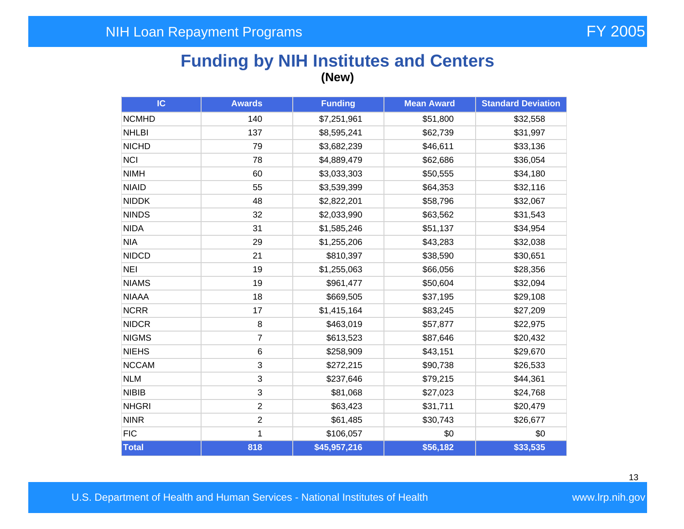# **Funding by NIH Institutes and Centers (New)**

| IC           | <b>Awards</b>  | <b>Funding</b>          | <b>Mean Award</b> |          |
|--------------|----------------|-------------------------|-------------------|----------|
| <b>NCMHD</b> | 140            | \$7,251,961<br>\$51,800 |                   | \$32,558 |
| <b>NHLBI</b> | 137            | \$8,595,241             | \$62,739          | \$31,997 |
| <b>NICHD</b> | 79             | \$3,682,239             | \$46,611          | \$33,136 |
| <b>NCI</b>   | 78             | \$4,889,479             | \$62,686          | \$36,054 |
| <b>NIMH</b>  | 60             | \$3,033,303             | \$50,555          | \$34,180 |
| <b>NIAID</b> | 55             | \$3,539,399             | \$64,353          | \$32,116 |
| <b>NIDDK</b> | 48             | \$2,822,201             | \$58,796          | \$32,067 |
| <b>NINDS</b> | 32             | \$2,033,990             | \$63,562          | \$31,543 |
| <b>NIDA</b>  | 31             | \$1,585,246             | \$51,137          | \$34,954 |
| <b>NIA</b>   | 29             | \$1,255,206             | \$43,283          | \$32,038 |
| <b>NIDCD</b> | 21             | \$810,397               | \$38,590          | \$30,651 |
| <b>NEI</b>   | 19             | \$1,255,063             | \$66,056          | \$28,356 |
| <b>NIAMS</b> | 19             | \$961,477               | \$50,604          | \$32,094 |
| <b>NIAAA</b> | 18             | \$669,505               | \$37,195          | \$29,108 |
| <b>NCRR</b>  | 17             | \$1,415,164             | \$83,245          | \$27,209 |
| <b>NIDCR</b> | 8              | \$463,019               | \$57,877          | \$22,975 |
| <b>NIGMS</b> | $\overline{7}$ | \$613,523               | \$87,646          | \$20,432 |
| <b>NIEHS</b> | 6              | \$258,909               | \$43,151          | \$29,670 |
| <b>NCCAM</b> | 3              | \$272,215               | \$90,738          | \$26,533 |
| <b>NLM</b>   | 3              | \$237,646               | \$79,215          | \$44,361 |
| <b>NIBIB</b> | $\mathbf{3}$   | \$81,068                | \$27,023          | \$24,768 |
| <b>NHGRI</b> | $\overline{2}$ | \$63,423                | \$31,711          | \$20,479 |
| <b>NINR</b>  | $\overline{2}$ | \$61,485                | \$30,743          | \$26,677 |
| <b>FIC</b>   | 1              | \$106,057               | \$0               | \$0      |
| Total        | 818            | \$45,957,216            | \$56,182          | \$33,535 |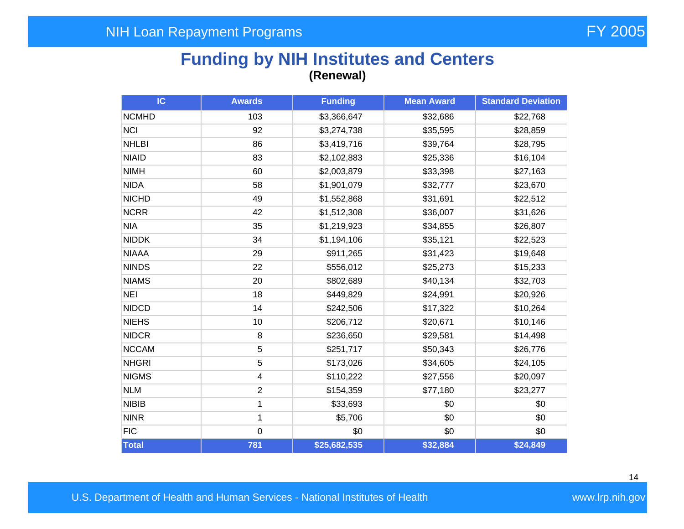## **Funding by NIH Institutes and Centers (Renewal)**

| IC           | <b>Awards</b>           | <b>Funding</b><br><b>Mean Award</b> |          | <b>Standard Deviation</b> |
|--------------|-------------------------|-------------------------------------|----------|---------------------------|
| <b>NCMHD</b> | 103                     | \$3,366,647                         | \$32,686 | \$22,768                  |
| <b>NCI</b>   | 92                      | \$3,274,738                         | \$35,595 | \$28,859                  |
| <b>NHLBI</b> | 86                      | \$3,419,716                         | \$39,764 | \$28,795                  |
| <b>NIAID</b> | 83                      | \$2,102,883                         | \$25,336 | \$16,104                  |
| <b>NIMH</b>  | 60                      | \$2,003,879                         | \$33,398 | \$27,163                  |
| <b>NIDA</b>  | 58                      | \$1,901,079                         | \$32,777 | \$23,670                  |
| <b>NICHD</b> | 49                      | \$1,552,868                         | \$31,691 | \$22,512                  |
| <b>NCRR</b>  | 42                      | \$1,512,308                         | \$36,007 | \$31,626                  |
| <b>NIA</b>   | 35                      | \$1,219,923                         | \$34,855 | \$26,807                  |
| <b>NIDDK</b> | 34                      | \$1,194,106                         | \$35,121 | \$22,523                  |
| <b>NIAAA</b> | 29                      | \$911,265                           | \$31,423 | \$19,648                  |
| <b>NINDS</b> | 22                      | \$556,012                           | \$25,273 | \$15,233                  |
| <b>NIAMS</b> | 20                      | \$802,689                           | \$40,134 | \$32,703                  |
| <b>NEI</b>   | 18                      | \$449,829                           | \$24,991 | \$20,926                  |
| <b>NIDCD</b> | 14                      | \$242,506                           | \$17,322 | \$10,264                  |
| <b>NIEHS</b> | 10                      | \$206,712                           | \$20,671 | \$10,146                  |
| <b>NIDCR</b> | 8                       | \$236,650                           | \$29,581 | \$14,498                  |
| <b>NCCAM</b> | 5                       | \$251,717                           | \$50,343 | \$26,776                  |
| <b>NHGRI</b> | 5                       | \$173,026                           | \$34,605 | \$24,105                  |
| <b>NIGMS</b> | $\overline{\mathbf{4}}$ | \$110,222                           | \$27,556 | \$20,097                  |
| <b>NLM</b>   | $\overline{2}$          | \$154,359                           | \$77,180 | \$23,277                  |
| <b>NIBIB</b> | 1                       | \$33,693                            | \$0      | \$0                       |
| <b>NINR</b>  | $\mathbf{1}$            | \$5,706                             | \$0      | \$0                       |
| <b>FIC</b>   | $\mathbf 0$             | \$0                                 | \$0      | \$0                       |
| Total        | 781                     | \$25,682,535                        | \$32,884 | \$24,849                  |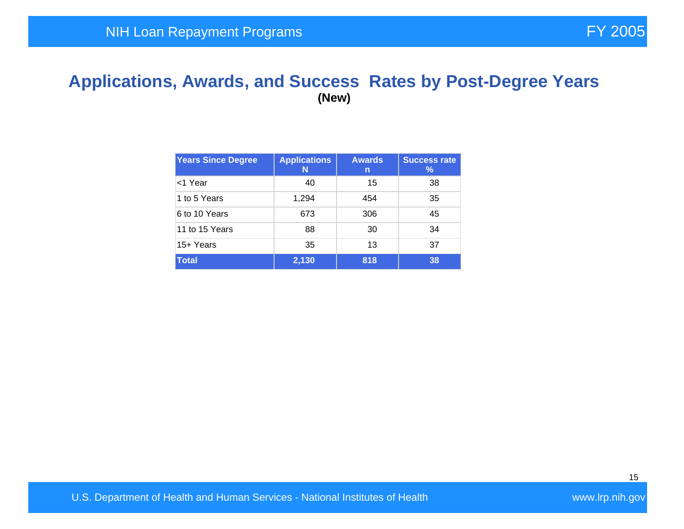#### **Applications, Awards, and Success Rates by Post-Degree Years (New)**

| <b>Years Since Degree</b> | <b>Applications</b><br>N | <b>Awards</b><br>n | <b>Success rate</b><br>℅ |
|---------------------------|--------------------------|--------------------|--------------------------|
| l<1 Year                  | 40                       | 15                 | 38                       |
| 1 to 5 Years              | 1,294                    | 454                | 35                       |
| 6 to 10 Years             | 673                      | 306                | 45                       |
| 11 to 15 Years            | 88                       | 30                 | 34                       |
| 15+ Years                 | 35                       | 13                 | 37                       |
| Total                     | 2,130                    | 818                | 38                       |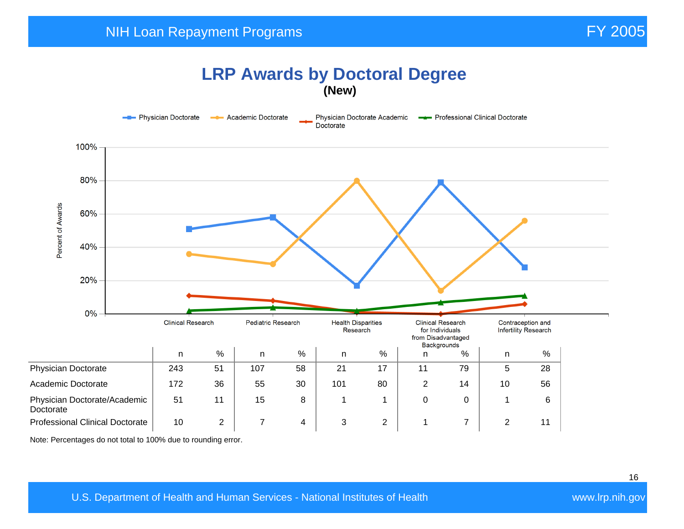## **LRP Awards by Doctoral Degree (New)**



Note: Percentages do not total to 100% due to rounding error.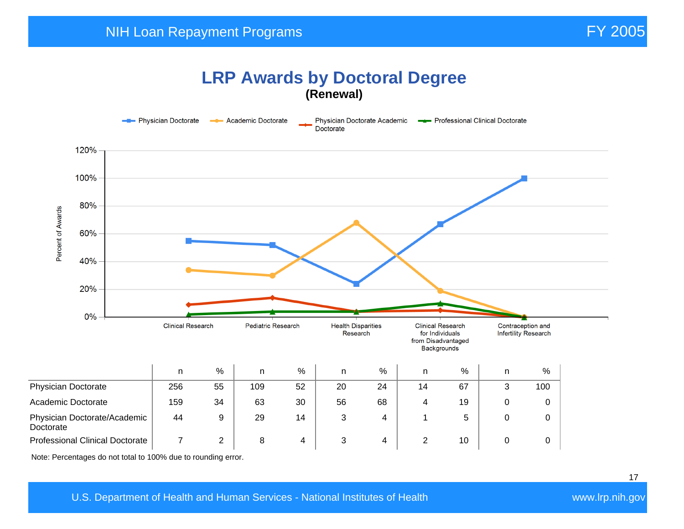## **LRP Awards by Doctoral Degree (Renewal)**



Note: Percentages do not total to 100% due to rounding error.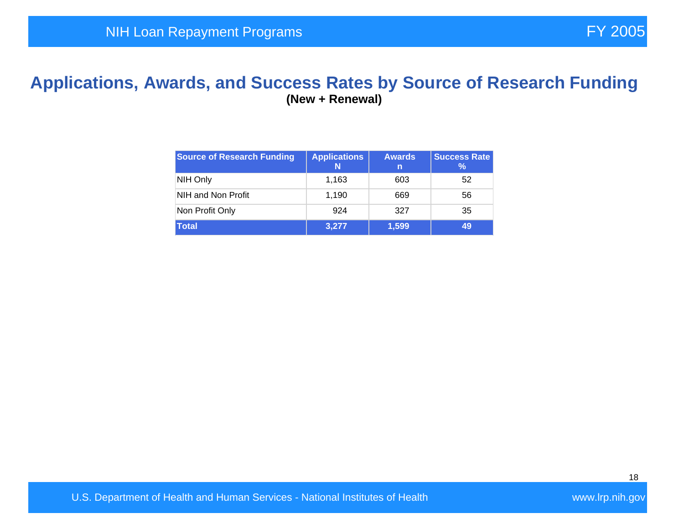#### **Applications, Awards, and Success Rates by Source of Research Funding (New + Renewal)**

| <b>Source of Research Funding</b> | <b>Applications</b><br>N | <b>Awards</b><br>m. | <b>Success Rate</b><br>℅ |
|-----------------------------------|--------------------------|---------------------|--------------------------|
| NIH Only                          | 1,163                    | 603                 | 52                       |
| NIH and Non Profit                | 1,190                    | 669                 | 56                       |
| Non Profit Only                   | 924                      | 327                 | 35                       |
| <b>Total</b>                      | 3,277                    | 1,599               | 49                       |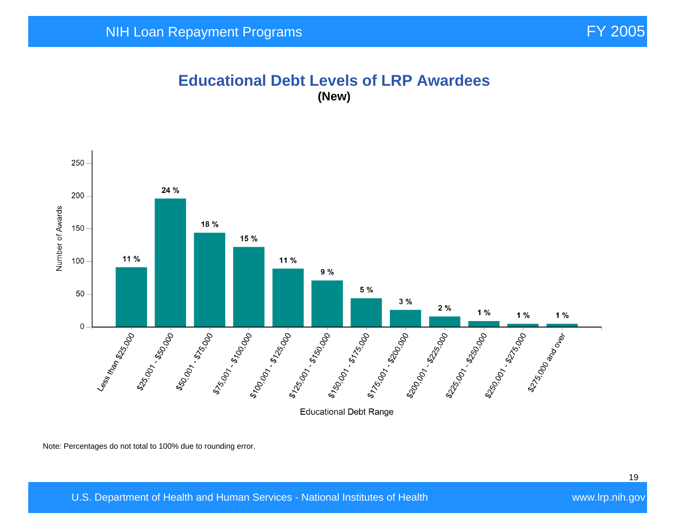#### **Educational Debt Levels of LRP Awardees (New)**



Note: Percentages do not total to 100% due to rounding error.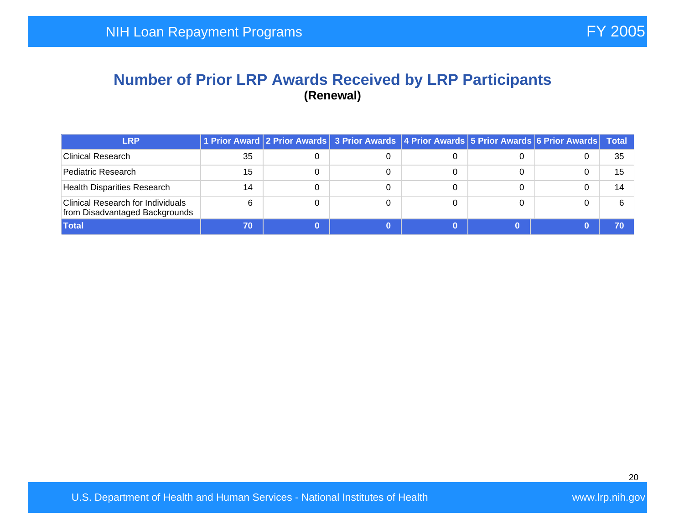#### **Number of Prior LRP Awards Received by LRP Participants (Renewal)**

| <b>LRP</b>                                                                 |    | 1 Prior Award 2 Prior Awards 3 Prior Awards 4 Prior Awards 5 Prior Awards 6 Prior Awards Total |  |    |
|----------------------------------------------------------------------------|----|------------------------------------------------------------------------------------------------|--|----|
| Clinical Research                                                          | 35 |                                                                                                |  | 35 |
| Pediatric Research                                                         | 15 |                                                                                                |  | 15 |
| <b>Health Disparities Research</b>                                         | 14 |                                                                                                |  | 14 |
| <b>Clinical Research for Individuals</b><br>from Disadvantaged Backgrounds | 6  |                                                                                                |  |    |
| <b>Total</b>                                                               | 70 |                                                                                                |  |    |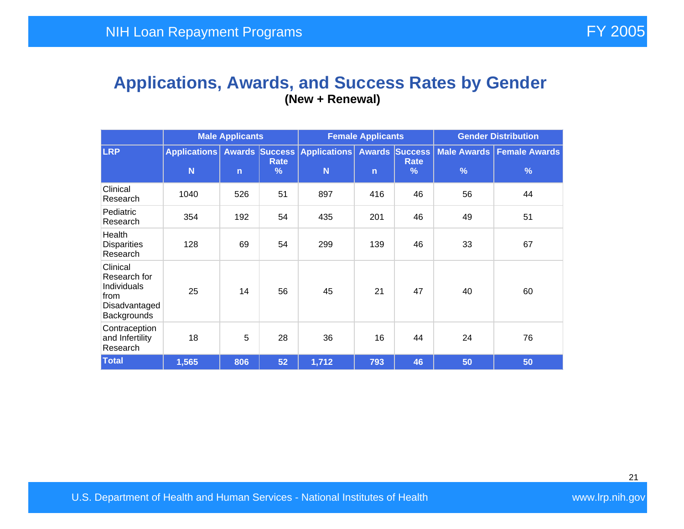#### **Applications, Awards, and Success Rates by Gender (New + Renewal)**

|                                                                                 | <b>Male Applicants</b>   |              |                       | <b>Female Applicants</b>                |              |                                           | <b>Gender Distribution</b> |                                              |  |
|---------------------------------------------------------------------------------|--------------------------|--------------|-----------------------|-----------------------------------------|--------------|-------------------------------------------|----------------------------|----------------------------------------------|--|
| <b>LRP</b>                                                                      | <b>Applications</b><br>N | $\mathsf{n}$ | Rate<br>$\frac{9}{6}$ | <b>Awards Success Applications</b><br>N | $\mathsf{n}$ | <b>Awards Success</b><br><b>Rate</b><br>% | $\frac{9}{6}$              | Male Awards   Female Awards<br>$\frac{9}{6}$ |  |
| Clinical<br>Research                                                            | 1040                     | 526          | 51                    | 897                                     | 416          | 46                                        | 56                         | 44                                           |  |
| Pediatric<br>Research                                                           | 354                      | 192          | 54                    | 435                                     | 201          | 46                                        | 49                         | 51                                           |  |
| Health<br><b>Disparities</b><br>Research                                        | 128                      | 69           | 54                    | 299                                     | 139          | 46                                        | 33                         | 67                                           |  |
| Clinical<br>Research for<br>Individuals<br>from<br>Disadvantaged<br>Backgrounds | 25                       | 14           | 56                    | 45                                      | 21           | 47                                        | 40                         | 60                                           |  |
| Contraception<br>and Infertility<br>Research                                    | 18                       | 5            | 28                    | 36                                      | 16           | 44                                        | 24                         | 76                                           |  |
| <b>Total</b>                                                                    | 1,565                    | 806          | 52                    | 1,712                                   | 793          | 46                                        | 50                         | 50                                           |  |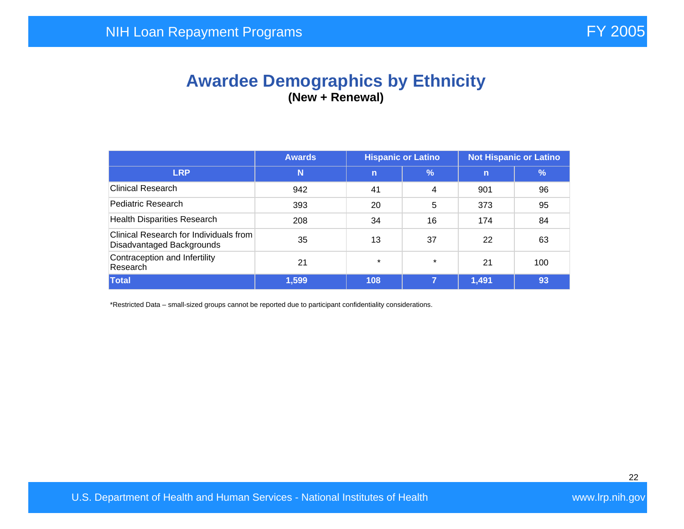## **Awardee Demographics by Ethnicity (New + Renewal)**

|                                                                     | <b>Not Hispanic or Latino</b><br><b>Hispanic or Latino</b><br><b>Awards</b> |             |         |             |               |
|---------------------------------------------------------------------|-----------------------------------------------------------------------------|-------------|---------|-------------|---------------|
| <b>LRP</b>                                                          | N                                                                           | $\mathbf n$ | $\%$    | $\mathbf n$ | $\frac{9}{6}$ |
| <b>Clinical Research</b>                                            | 942                                                                         | 41          | 4       | 901         | 96            |
| Pediatric Research                                                  | 393                                                                         | 20          | 5       | 373         | 95            |
| <b>Health Disparities Research</b>                                  | 208                                                                         | 34          | 16      | 174         | 84            |
| Clinical Research for Individuals from<br>Disadvantaged Backgrounds | 35                                                                          | 13          | 37      | 22          | 63            |
| Contraception and Infertility<br>Research                           | 21                                                                          | $\star$     | $\star$ | 21          | 100           |
| <b>Total</b>                                                        | 1,599                                                                       | 108         | 7       | 1,491       | 93            |

\*Restricted Data – small-sized groups cannot be reported due to participant confidentiality considerations.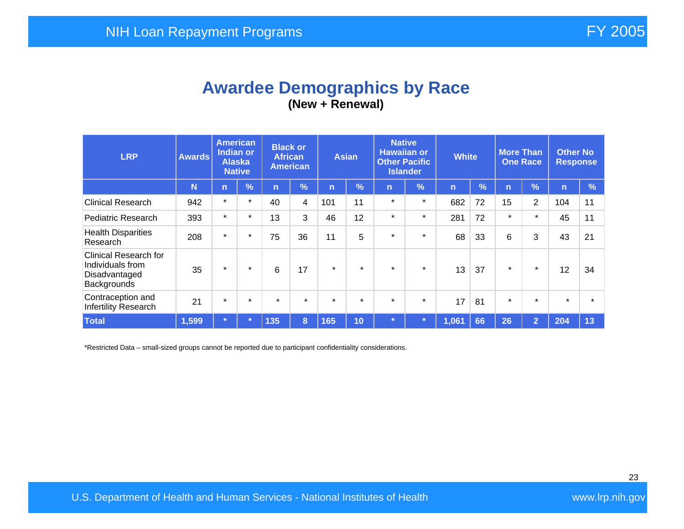## **Awardee Demographics by Race (New + Renewal)**

| <b>LRP</b>                                                                       | <b>Awards</b> | <b>American</b><br><b>Indian or</b><br><b>Alaska</b><br><b>Native</b> |            | <b>Black or</b><br><b>African</b><br><b>American</b> |            | <b>Asian</b> |            | <b>Native</b><br><b>Hawaiian or</b><br><b>Other Pacific</b><br><b>Islander</b> |               | <b>White</b> |               | <b>More Than</b><br><b>One Race</b> |                | <b>Other No</b><br><b>Response</b> |               |
|----------------------------------------------------------------------------------|---------------|-----------------------------------------------------------------------|------------|------------------------------------------------------|------------|--------------|------------|--------------------------------------------------------------------------------|---------------|--------------|---------------|-------------------------------------|----------------|------------------------------------|---------------|
|                                                                                  | N             | $\mathsf{n}$                                                          | $\sqrt{2}$ | n                                                    | $\sqrt{2}$ | n            | $\sqrt{2}$ | n                                                                              | $\frac{9}{6}$ | n            | $\frac{9}{6}$ | n                                   | $\frac{1}{2}$  | $\mathsf{n}$                       | $\frac{9}{6}$ |
| <b>Clinical Research</b>                                                         | 942           | $\star$                                                               | $\star$    | 40                                                   | 4          | 101          | 11         | $\star$                                                                        | $\star$       | 682          | 72            | 15                                  | 2              | 104                                | 11            |
| <b>Pediatric Research</b>                                                        | 393           | $\star$                                                               | $\star$    | 13                                                   | 3          | 46           | 12         | $\star$                                                                        | $\star$       | 281          | 72            | $\star$                             | $\star$        | 45                                 | 11            |
| <b>Health Disparities</b><br>Research                                            | 208           | $\star$                                                               | $\star$    | 75                                                   | 36         | 11           | 5          | $\star$                                                                        | $\star$       | 68           | 33            | 6                                   | 3              | 43                                 | 21            |
| <b>Clinical Research for</b><br>Individuals from<br>Disadvantaged<br>Backgrounds | 35            | $\star$                                                               | $\star$    | 6                                                    | 17         | $\star$      | $\star$    | $\star$                                                                        | $\star$       | 13           | 37            | $\star$                             | $\star$        | 12                                 | 34            |
| Contraception and<br>Infertility Research                                        | 21            | $\star$                                                               | $\star$    | $\star$                                              | $\star$    | $\star$      | $\star$    | $\star$                                                                        | $\star$       | 17           | 81            | $\star$                             | $\star$        | $\star$                            |               |
| <b>Total</b>                                                                     | 1,599         | $\star$                                                               |            | 135                                                  | 8          | 165          | 10         | $\star$                                                                        |               | 1,061        | 66            | 26                                  | $\overline{2}$ | 204                                | 13            |

\*Restricted Data – small-sized groups cannot be reported due to participant confidentiality considerations.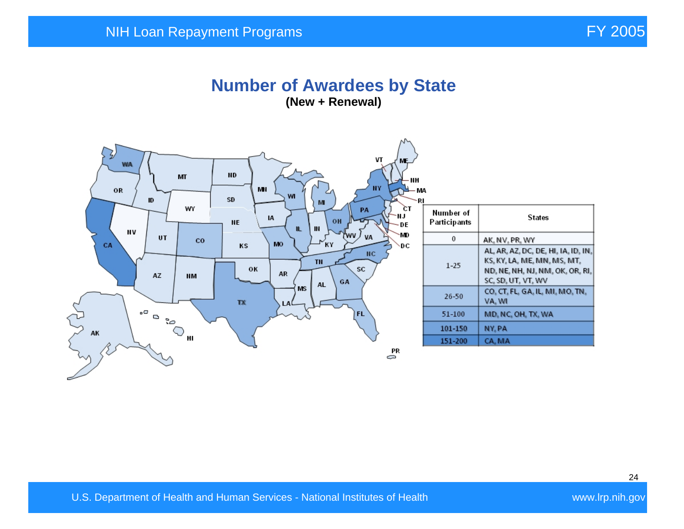#### **Number of Awardees by State (New + Renewal)**